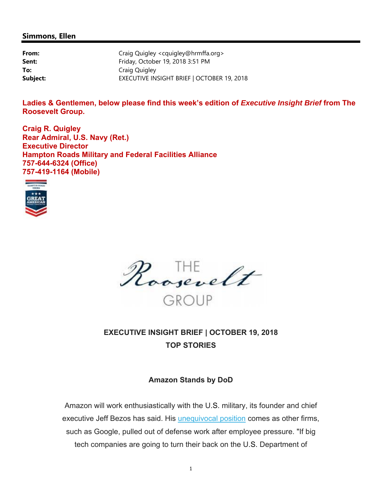#### **Simmons, Ellen**

| From:    | Craig Quigley <cquigley@hrmffa.org></cquigley@hrmffa.org> |
|----------|-----------------------------------------------------------|
| Sent:    | Friday, October 19, 2018 3:51 PM                          |
| To:      | Craig Quigley                                             |
| Subject: | EXECUTIVE INSIGHT BRIEF   OCTOBER 19, 2018                |

**Ladies & Gentlemen, below please find this week's edition of** *Executive Insight Brief* **from The Roosevelt Group.** 

**Craig R. Quigley Rear Admiral, U.S. Navy (Ret.) Executive Director Hampton Roads Military and Federal Facilities Alliance 757-644-6324 (Office) 757-419-1164 (Mobile)** 





# **EXECUTIVE INSIGHT BRIEF | OCTOBER 19, 2018 TOP STORIES**

# **Amazon Stands by DoD**

Amazon will work enthusiastically with the U.S. military, its founder and chief executive Jeff Bezos has said. His unequivocal position comes as other firms, such as Google, pulled out of defense work after employee pressure. "If big tech companies are going to turn their back on the U.S. Department of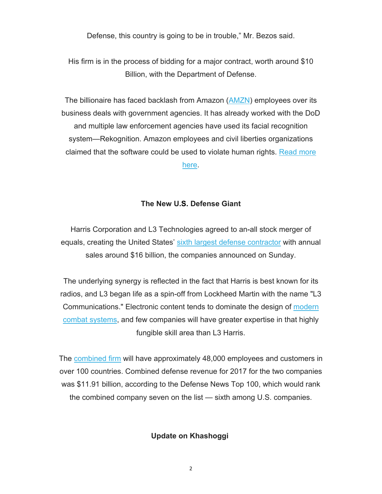Defense, this country is going to be in trouble," Mr. Bezos said.

His firm is in the process of bidding for a major contract, worth around \$10 Billion, with the Department of Defense.

The billionaire has faced backlash from Amazon (AMZN) employees over its business deals with government agencies. It has already worked with the DoD and multiple law enforcement agencies have used its facial recognition system—Rekognition. Amazon employees and civil liberties organizations claimed that the software could be used to violate human rights. Read more here.

# **The New U.S. Defense Giant**

Harris Corporation and L3 Technologies agreed to an-all stock merger of equals, creating the United States' sixth largest defense contractor with annual sales around \$16 billion, the companies announced on Sunday.

The underlying synergy is reflected in the fact that Harris is best known for its radios, and L3 began life as a spin-off from Lockheed Martin with the name "L3 Communications." Electronic content tends to dominate the design of modern combat systems, and few companies will have greater expertise in that highly fungible skill area than L3 Harris.

The combined firm will have approximately 48,000 employees and customers in over 100 countries. Combined defense revenue for 2017 for the two companies was \$11.91 billion, according to the Defense News Top 100, which would rank the combined company seven on the list — sixth among U.S. companies.

#### **Update on Khashoggi**

2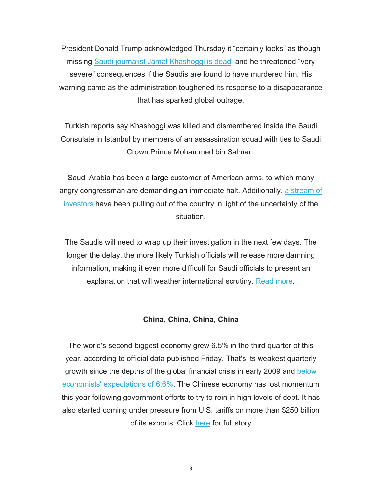President Donald Trump acknowledged Thursday it "certainly looks" as though missing Saudi journalist Jamal Khashoggi is dead, and he threatened "very severe" consequences if the Saudis are found to have murdered him. His warning came as the administration toughened its response to a disappearance that has sparked global outrage.

Turkish reports say Khashoggi was killed and dismembered inside the Saudi Consulate in Istanbul by members of an assassination squad with ties to Saudi Crown Prince Mohammed bin Salman.

Saudi Arabia has been a large customer of American arms, to which many angry congressman are demanding an immediate halt. Additionally, a stream of investors have been pulling out of the country in light of the uncertainty of the situation.

The Saudis will need to wrap up their investigation in the next few days. The longer the delay, the more likely Turkish officials will release more damning information, making it even more difficult for Saudi officials to present an explanation that will weather international scrutiny. Read more.

#### **China, China, China, China**

The world's second biggest economy grew 6.5% in the third quarter of this year, according to official data published Friday. That's its weakest quarterly growth since the depths of the global financial crisis in early 2009 and below economists' expectations of 6.6%. The Chinese economy has lost momentum this year following government efforts to try to rein in high levels of debt. It has also started coming under pressure from U.S. tariffs on more than \$250 billion of its exports. Click here for full story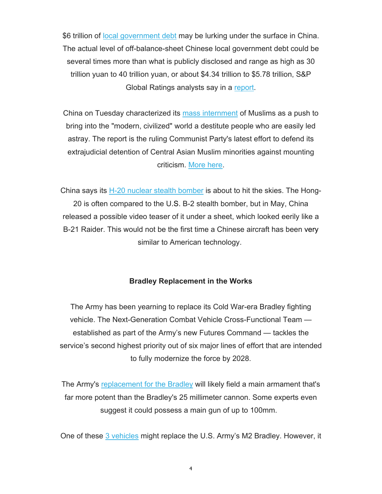\$6 trillion of local government debt may be lurking under the surface in China. The actual level of off-balance-sheet Chinese local government debt could be several times more than what is publicly disclosed and range as high as 30 trillion yuan to 40 trillion yuan, or about \$4.34 trillion to \$5.78 trillion, S&P Global Ratings analysts say in a report.

China on Tuesday characterized its mass internment of Muslims as a push to bring into the "modern, civilized" world a destitute people who are easily led astray. The report is the ruling Communist Party's latest effort to defend its extrajudicial detention of Central Asian Muslim minorities against mounting criticism. More here.

China says its H-20 nuclear stealth bomber is about to hit the skies. The Hong-20 is often compared to the U.S. B-2 stealth bomber, but in May, China released a possible video teaser of it under a sheet, which looked eerily like a B-21 Raider. This would not be the first time a Chinese aircraft has been very similar to American technology.

#### **Bradley Replacement in the Works**

The Army has been yearning to replace its Cold War-era Bradley fighting vehicle. The Next-Generation Combat Vehicle Cross-Functional Team established as part of the Army's new Futures Command — tackles the service's second highest priority out of six major lines of effort that are intended to fully modernize the force by 2028.

The Army's replacement for the Bradley will likely field a main armament that's far more potent than the Bradley's 25 millimeter cannon. Some experts even suggest it could possess a main gun of up to 100mm.

One of these 3 vehicles might replace the U.S. Army's M2 Bradley. However, it

4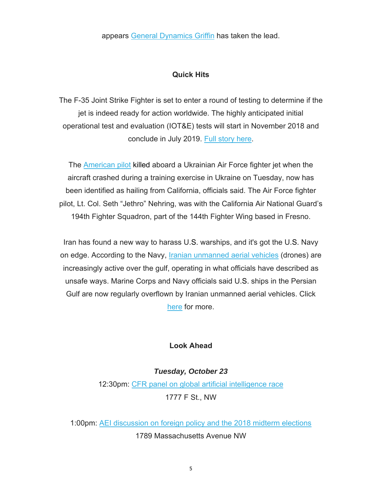appears General Dynamics Griffin has taken the lead.

# **Quick Hits**

The F-35 Joint Strike Fighter is set to enter a round of testing to determine if the jet is indeed ready for action worldwide. The highly anticipated initial operational test and evaluation (IOT&E) tests will start in November 2018 and conclude in July 2019. Full story here.

The American pilot killed aboard a Ukrainian Air Force fighter jet when the aircraft crashed during a training exercise in Ukraine on Tuesday, now has been identified as hailing from California, officials said. The Air Force fighter pilot, Lt. Col. Seth "Jethro" Nehring, was with the California Air National Guard's 194th Fighter Squadron, part of the 144th Fighter Wing based in Fresno.

Iran has found a new way to harass U.S. warships, and it's got the U.S. Navy on edge. According to the Navy, *Iranian unmanned aerial vehicles* (drones) are increasingly active over the gulf, operating in what officials have described as unsafe ways. Marine Corps and Navy officials said U.S. ships in the Persian Gulf are now regularly overflown by Iranian unmanned aerial vehicles. Click here for more.

# **Look Ahead**

*Tuesday, October 23*  12:30pm: CFR panel on global artificial intelligence race 1777 F St., NW

1:00pm: AEI discussion on foreign policy and the 2018 midterm elections 1789 Massachusetts Avenue NW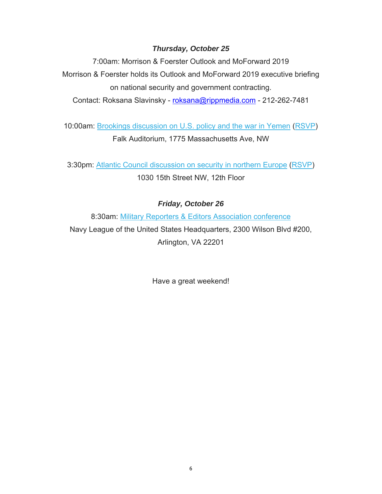# *Thursday, October 25*

7:00am: Morrison & Foerster Outlook and MoForward 2019 Morrison & Foerster holds its Outlook and MoForward 2019 executive briefing on national security and government contracting.

Contact: Roksana Slavinsky - [roksana@rippmedia.com](mailto:roksana@rippmedia.com) - 212-262-7481

10:00am: Brookings discussion on U.S. policy and the war in Yemen (RSVP) Falk Auditorium, 1775 Massachusetts Ave, NW

3:30pm: Atlantic Council discussion on security in northern Europe (RSVP) 1030 15th Street NW, 12th Floor

# *Friday, October 26*

8:30am: Military Reporters & Editors Association conference Navy League of the United States Headquarters, 2300 Wilson Blvd #200, Arlington, VA 22201

Have a great weekend!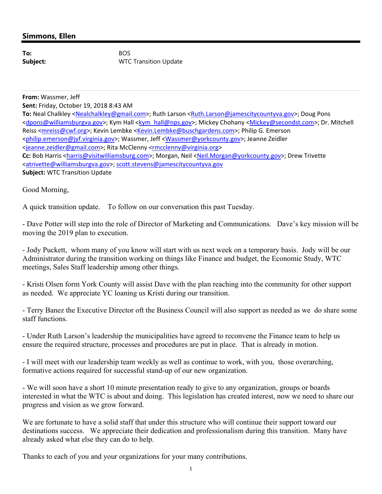## **Simmons, Ellen**

**To:** BOS

**Subject:** WTC Transition Update

 **Subject:** WTC Transition Update **From:** Wassmer, Jeff **Sent:** Friday, October 19, 2018 8:43 AM **To:** Neal Chalkley [<Nealchalkley@gmail.com>](mailto:Nealchalkley@gmail.com); Ruth Larson <[Ruth.Larson@jamescitycountyva.gov](mailto:Ruth.Larson@jamescitycountyva.gov)>; Doug Pons <[dpons@williamsburgva.gov>](mailto:dpons@williamsburgva.gov); Kym Hall <[kym\\_hall@nps.gov](mailto:kym_hall@nps.gov)>; Mickey Chohany [<Mickey@secondst.com>](mailto:Mickey@secondst.com); Dr. Mitchell Reiss <*mreiss@cwf.org>*; Kevin Lembke [<Kevin.Lembke@buschgardens.com](mailto:Kevin.Lembke@buschgardens.com)>; Philip G. Emerson <[philip.emerson@jyf.virginia.gov](mailto:philip.emerson@jyf.virginia.gov)>; Wassmer, Jeff <[Wassmer@yorkcounty.gov>](mailto:Wassmer@yorkcounty.gov); Jeanne Zeidler <[jeanne.zeidler@gmail.com>](mailto:jeanne.zeidler@gmail.com); Rita McClenny <[rmcclenny@virginia.org](mailto:rmcclenny@virginia.org)> Cc: Bob Harris <[harris@visitwilliamsburg.com>](mailto:harris@visitwilliamsburg.com); Morgan, Neil <[Neil.Morgan@yorkcounty.gov](mailto:Neil.Morgan@yorkcounty.gov)>; Drew Trivette <[atrivette@williamsburgva.gov>](mailto:atrivette@williamsburgva.gov); [scott.stevens@jamescitycountyva.gov](mailto:scott.stevens@jamescitycountyva.gov)

Good Morning,

A quick transition update. To follow on our conversation this past Tuesday.

- Dave Potter will step into the role of Director of Marketing and Communications. Dave's key mission will be moving the 2019 plan to execution.

- Jody Puckett, whom many of you know will start with us next week on a temporary basis. Jody will be our Administrator during the transition working on things like Finance and budget, the Economic Study, WTC meetings, Sales Staff leadership among other things.

- Kristi Olsen form York County will assist Dave with the plan reaching into the community for other support as needed. We appreciate YC loaning us Kristi during our transition.

- Terry Banez the Executive Director oft the Business Council will also support as needed as we do share some staff functions.

- Under Ruth Larson's leadership the municipalities have agreed to reconvene the Finance team to help us ensure the required structure, processes and procedures are put in place. That is already in motion.

- I will meet with our leadership team weekly as well as continue to work, with you, those overarching, formative actions required for successful stand-up of our new organization.

- We will soon have a short 10 minute presentation ready to give to any organization, groups or boards interested in what the WTC is about and doing. This legislation has created interest, now we need to share our progress and vision as we grow forward.

We are fortunate to have a solid staff that under this structure who will continue their support toward our destinations success. We appreciate their dedication and professionalism during this transition. Many have already asked what else they can do to help.

Thanks to each of you and your organizations for your many contributions.